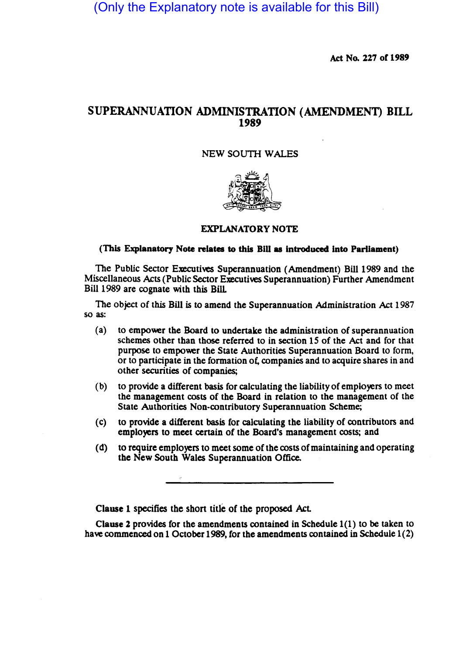(Only the Explanatory note is available for this Bill)

Act No. 227 of 1989

## SUPERANNUATION ADMINISTRATION (AMENDMEN'I) BILL 1989

## NEW SOUTH WALES



## EXPLANATORY NOTE

## (This Explanatory Note relates to this Bill as Introduced Into Parliament)

The Public Sector Executives Superannuation (Amendment) Bil11989 and the Miscellaneous Acts (Public Sector Executives Superannuation) Further Amendment Bill 1989 are cognate with this BilL

The Object of this Bill is to amend the Superannuation Administration Act 1987 so as:

- (a) to empower the Board to undertake the administration of superannuation schemes other than those referred to in section 15 of the Act and for that purpose to empower the State Authorities Superannuation Board to form, or to panicipate in the formation of. companies and to acquire shares in and other securities of companies;
- (b) to provide a different basis for calculating the liability of employers to meet the management costs of the Board in relation to the management of the State Authorities Non-contributory Superannuation Scheme;
- (c) to provide a different basis for calculating the liability of contributors and employers to meet certain of the Board's management costs; and
- (d) to require employers to meet some of the costs of maintaining and operating the New South Wales Superannuation Office.

Clause 1 specifies the short title of the proposed Act.

Clause 2 provides for the amendments contained in Schedule  $1(1)$  to be taken to have commenced on 1 October 1989, for the amendments contained in Schedule  $1(2)$